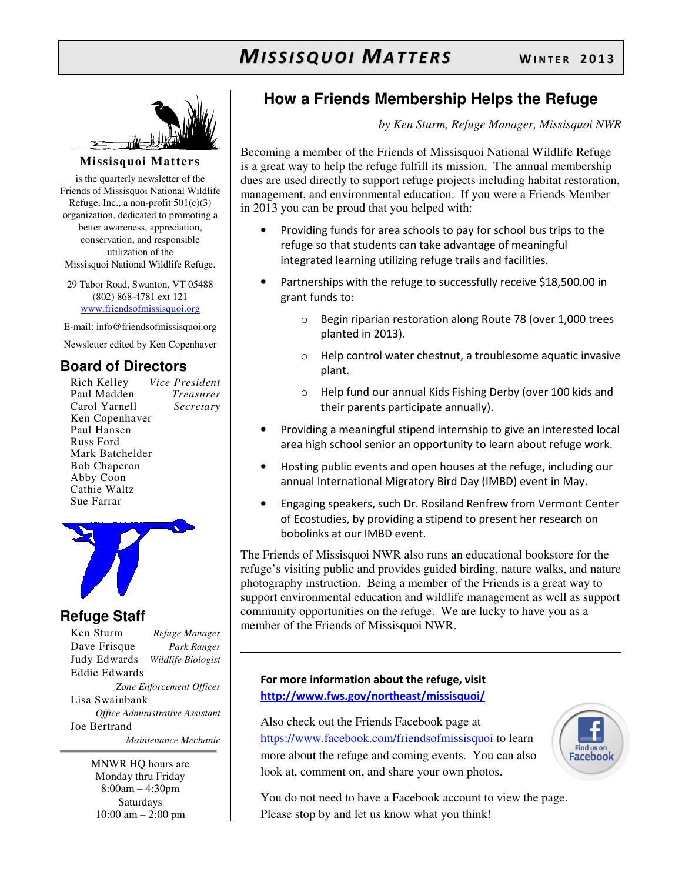# **MISSISQUOI MATTERS** WINTER 2013



### **Missisquoi Matters**

is the quarterly newsletter of the Friends of Missisquoi National Wildlife Refuge, Inc., a non-profit  $501(c)(3)$ organization, dedicated to promoting a better awareness, appreciation, conservation, and responsible utilization of the Missisquoi National Wildlife Refuge.

29 Tabor Road, Swanton, VT 05488 (802) 868-4781 ext 121 www.friendsofmissisquoi.org

E-mail: info@friendsofmissisquoi.org

Newsletter edited by Ken Copenhaver

## **Board of Directors**

Rich Kelley *Vice President* Paul Madden *Treasurer* Carol Yarnell *Secretary*  Ken Copenhaver Paul Hansen Russ Ford Mark Batchelder Bob Chaperon Abby Coon Cathie Waltz Sue Farrar



## **Refuge Staff**

Ken Sturm *Refuge Manager* Dave Frisque *Park Ranger* Judy Edwards *Wildlife Biologist* Eddie Edwards *Zone Enforcement Officer* Lisa Swainbank *Office Administrative Assistant*  Joe Bertrand  *Maintenance Mechanic*

> MNWR HQ hours are Monday thru Friday 8:00am – 4:30pm Saturdays 10:00 am – 2:00 pm

# **How a Friends Membership Helps the Refuge**

*by Ken Sturm, Refuge Manager, Missisquoi NWR*

Becoming a member of the Friends of Missisquoi National Wildlife Refuge is a great way to help the refuge fulfill its mission. The annual membership dues are used directly to support refuge projects including habitat restoration, management, and environmental education. If you were a Friends Member in 2013 you can be proud that you helped with:

- Providing funds for area schools to pay for school bus trips to the refuge so that students can take advantage of meaningful integrated learning utilizing refuge trails and facilities.
- Partnerships with the refuge to successfully receive \$18,500.00 in grant funds to:
	- o Begin riparian restoration along Route 78 (over 1,000 trees planted in 2013).
	- o Help control water chestnut, a troublesome aquatic invasive plant.
	- o Help fund our annual Kids Fishing Derby (over 100 kids and their parents participate annually).
- Providing a meaningful stipend internship to give an interested local area high school senior an opportunity to learn about refuge work.
- Hosting public events and open houses at the refuge, including our annual International Migratory Bird Day (IMBD) event in May.
- Engaging speakers, such Dr. Rosiland Renfrew from Vermont Center of Ecostudies, by providing a stipend to present her research on bobolinks at our IMBD event.

The Friends of Missisquoi NWR also runs an educational bookstore for the refuge's visiting public and provides guided birding, nature walks, and nature photography instruction. Being a member of the Friends is a great way to support environmental education and wildlife management as well as support community opportunities on the refuge. We are lucky to have you as a member of the Friends of Missisquoi NWR.

## For more information about the refuge, visit http://www.fws.gov/northeast/missisquoi/

Also check out the Friends Facebook page at https://www.facebook.com/friendsofmissisquoi to learn more about the refuge and coming events. You can also look at, comment on, and share your own photos.



You do not need to have a Facebook account to view the page. Please stop by and let us know what you think!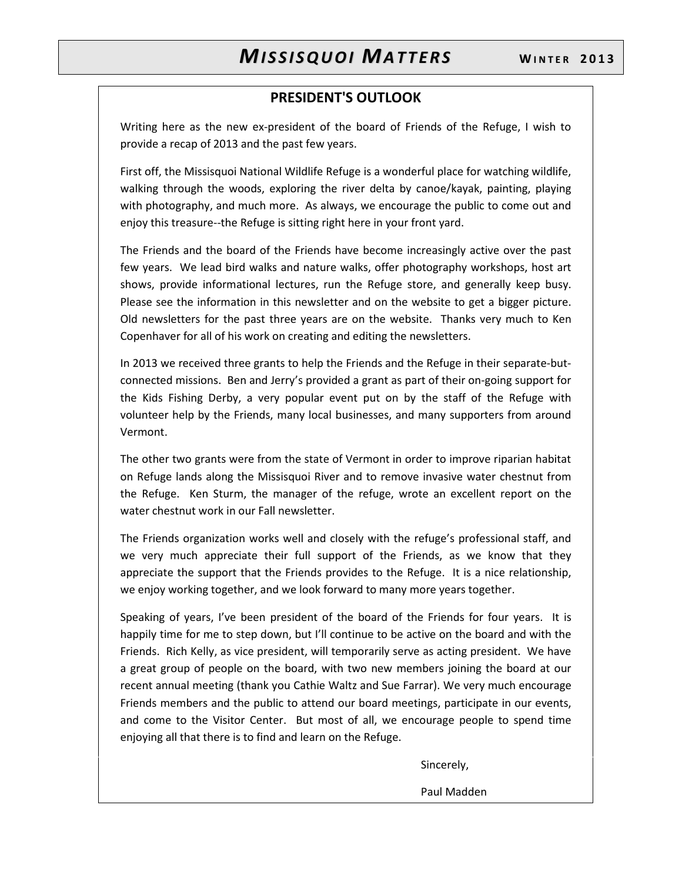## PRESIDENT'S OUTLOOK

Writing here as the new ex-president of the board of Friends of the Refuge, I wish to provide a recap of 2013 and the past few years.

First off, the Missisquoi National Wildlife Refuge is a wonderful place for watching wildlife, walking through the woods, exploring the river delta by canoe/kayak, painting, playing with photography, and much more. As always, we encourage the public to come out and enjoy this treasure--the Refuge is sitting right here in your front yard.

The Friends and the board of the Friends have become increasingly active over the past few years. We lead bird walks and nature walks, offer photography workshops, host art shows, provide informational lectures, run the Refuge store, and generally keep busy. Please see the information in this newsletter and on the website to get a bigger picture. Old newsletters for the past three years are on the website. Thanks very much to Ken Copenhaver for all of his work on creating and editing the newsletters.

In 2013 we received three grants to help the Friends and the Refuge in their separate-butconnected missions. Ben and Jerry's provided a grant as part of their on-going support for the Kids Fishing Derby, a very popular event put on by the staff of the Refuge with volunteer help by the Friends, many local businesses, and many supporters from around Vermont.

The other two grants were from the state of Vermont in order to improve riparian habitat on Refuge lands along the Missisquoi River and to remove invasive water chestnut from the Refuge. Ken Sturm, the manager of the refuge, wrote an excellent report on the water chestnut work in our Fall newsletter.

The Friends organization works well and closely with the refuge's professional staff, and we very much appreciate their full support of the Friends, as we know that they appreciate the support that the Friends provides to the Refuge. It is a nice relationship, we enjoy working together, and we look forward to many more years together.

Speaking of years, I've been president of the board of the Friends for four years. It is happily time for me to step down, but I'll continue to be active on the board and with the Friends. Rich Kelly, as vice president, will temporarily serve as acting president. We have a great group of people on the board, with two new members joining the board at our recent annual meeting (thank you Cathie Waltz and Sue Farrar). We very much encourage Friends members and the public to attend our board meetings, participate in our events, and come to the Visitor Center. But most of all, we encourage people to spend time enjoying all that there is to find and learn on the Refuge.

Sincerely,

Paul Madden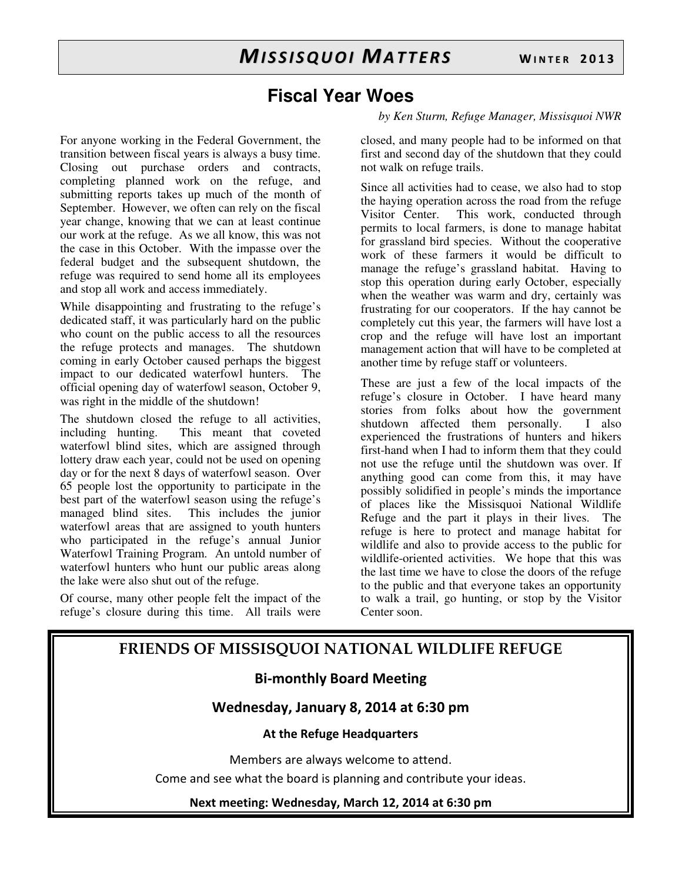# **Fiscal Year Woes**

## *by Ken Sturm, Refuge Manager, Missisquoi NWR*

For anyone working in the Federal Government, the transition between fiscal years is always a busy time. Closing out purchase orders and contracts, completing planned work on the refuge, and submitting reports takes up much of the month of September. However, we often can rely on the fiscal year change, knowing that we can at least continue our work at the refuge. As we all know, this was not the case in this October. With the impasse over the federal budget and the subsequent shutdown, the refuge was required to send home all its employees and stop all work and access immediately.

While disappointing and frustrating to the refuge's dedicated staff, it was particularly hard on the public who count on the public access to all the resources the refuge protects and manages. The shutdown coming in early October caused perhaps the biggest impact to our dedicated waterfowl hunters. The official opening day of waterfowl season, October 9, was right in the middle of the shutdown!

The shutdown closed the refuge to all activities, including hunting. This meant that coveted waterfowl blind sites, which are assigned through lottery draw each year, could not be used on opening day or for the next 8 days of waterfowl season. Over 65 people lost the opportunity to participate in the best part of the waterfowl season using the refuge's managed blind sites. This includes the junior waterfowl areas that are assigned to youth hunters who participated in the refuge's annual Junior Waterfowl Training Program. An untold number of waterfowl hunters who hunt our public areas along the lake were also shut out of the refuge.

Of course, many other people felt the impact of the refuge's closure during this time. All trails were closed, and many people had to be informed on that first and second day of the shutdown that they could not walk on refuge trails.

Since all activities had to cease, we also had to stop the haying operation across the road from the refuge Visitor Center. This work, conducted through permits to local farmers, is done to manage habitat for grassland bird species. Without the cooperative work of these farmers it would be difficult to manage the refuge's grassland habitat. Having to stop this operation during early October, especially when the weather was warm and dry, certainly was frustrating for our cooperators. If the hay cannot be completely cut this year, the farmers will have lost a crop and the refuge will have lost an important management action that will have to be completed at another time by refuge staff or volunteers.

These are just a few of the local impacts of the refuge's closure in October. I have heard many stories from folks about how the government shutdown affected them personally. I also experienced the frustrations of hunters and hikers first-hand when I had to inform them that they could not use the refuge until the shutdown was over. If anything good can come from this, it may have possibly solidified in people's minds the importance of places like the Missisquoi National Wildlife Refuge and the part it plays in their lives. The refuge is here to protect and manage habitat for wildlife and also to provide access to the public for wildlife-oriented activities. We hope that this was the last time we have to close the doors of the refuge to the public and that everyone takes an opportunity to walk a trail, go hunting, or stop by the Visitor Center soon.

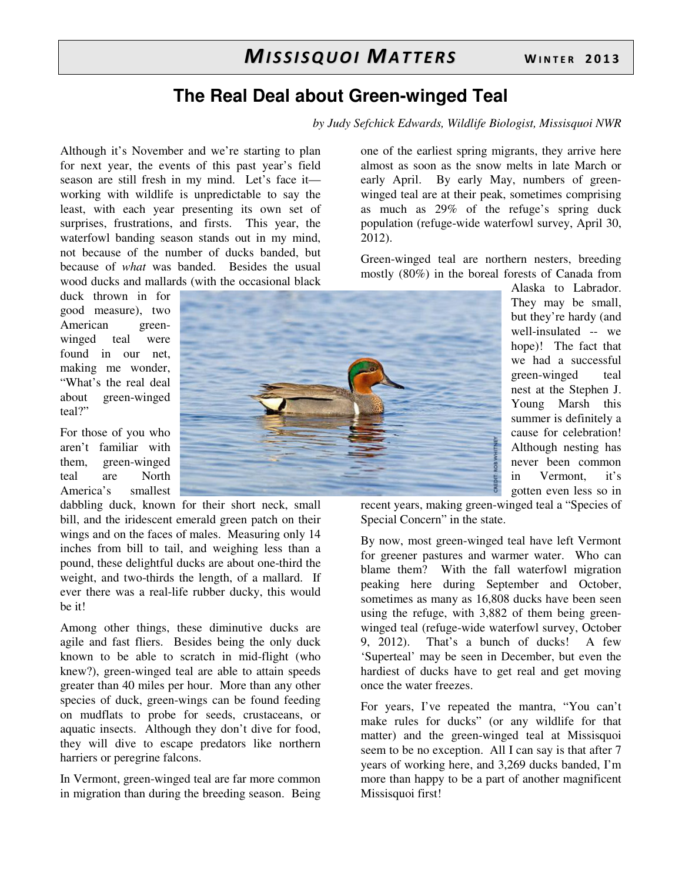# **The Real Deal about Green-winged Teal**

*by Judy Sefchick Edwards, Wildlife Biologist, Missisquoi NWR*

Although it's November and we're starting to plan for next year, the events of this past year's field season are still fresh in my mind. Let's face it working with wildlife is unpredictable to say the least, with each year presenting its own set of surprises, frustrations, and firsts. This year, the waterfowl banding season stands out in my mind, not because of the number of ducks banded, but because of *what* was banded. Besides the usual wood ducks and mallards (with the occasional black

duck thrown in for good measure), two American greenwinged teal were found in our net, making me wonder, "What's the real deal about green-winged teal?"

For those of you who aren't familiar with them, green-winged teal are North America's smallest

dabbling duck, known for their short neck, small bill, and the iridescent emerald green patch on their wings and on the faces of males. Measuring only 14 inches from bill to tail, and weighing less than a pound, these delightful ducks are about one-third the weight, and two-thirds the length, of a mallard. If ever there was a real-life rubber ducky, this would be it!

Among other things, these diminutive ducks are agile and fast fliers. Besides being the only duck known to be able to scratch in mid-flight (who knew?), green-winged teal are able to attain speeds greater than 40 miles per hour. More than any other species of duck, green-wings can be found feeding on mudflats to probe for seeds, crustaceans, or aquatic insects. Although they don't dive for food, they will dive to escape predators like northern harriers or peregrine falcons.

In Vermont, green-winged teal are far more common in migration than during the breeding season. Being



one of the earliest spring migrants, they arrive here almost as soon as the snow melts in late March or early April. By early May, numbers of greenwinged teal are at their peak, sometimes comprising as much as 29% of the refuge's spring duck population (refuge-wide waterfowl survey, April 30, 2012).

Green-winged teal are northern nesters, breeding mostly (80%) in the boreal forests of Canada from

> Alaska to Labrador. They may be small, but they're hardy (and well-insulated -- we hope)! The fact that we had a successful green-winged teal nest at the Stephen J. Young Marsh this summer is definitely a cause for celebration! Although nesting has never been common in Vermont, it's gotten even less so in

recent years, making green-winged teal a "Species of Special Concern" in the state.

By now, most green-winged teal have left Vermont for greener pastures and warmer water. Who can blame them? With the fall waterfowl migration peaking here during September and October, sometimes as many as 16,808 ducks have been seen using the refuge, with 3,882 of them being greenwinged teal (refuge-wide waterfowl survey, October 9, 2012). That's a bunch of ducks! A few 'Superteal' may be seen in December, but even the hardiest of ducks have to get real and get moving once the water freezes.

For years, I've repeated the mantra, "You can't make rules for ducks" (or any wildlife for that matter) and the green-winged teal at Missisquoi seem to be no exception. All I can say is that after 7 years of working here, and 3,269 ducks banded, I'm more than happy to be a part of another magnificent Missisquoi first!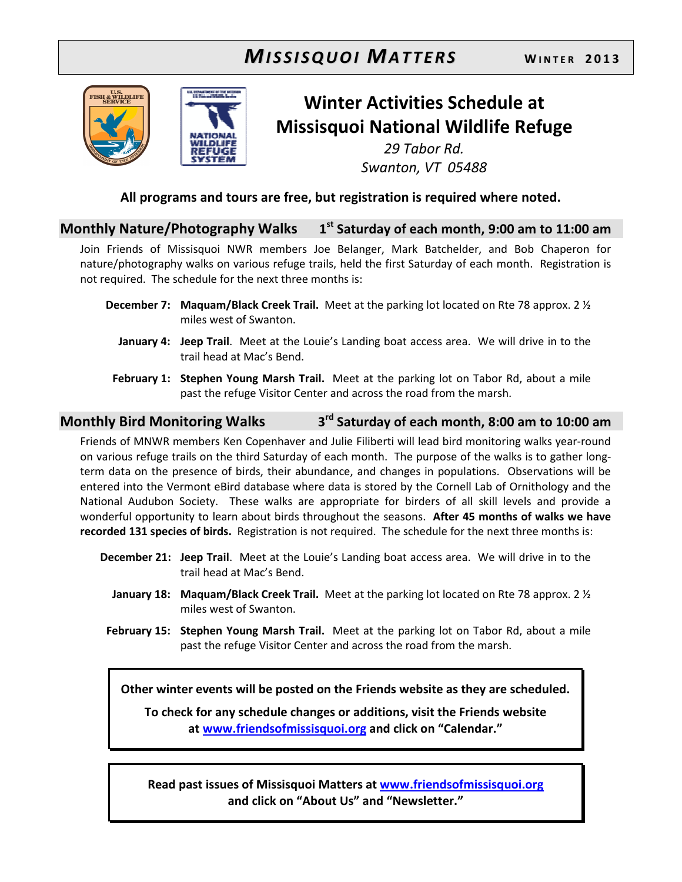# **MISSISQUOI MATTERS** WINTER 2013





# Winter Activities Schedule at Missisquoi National Wildlife Refuge 29 Tabor Rd.

Swanton, VT 05488

## All programs and tours are free, but registration is required where noted.

#### Monthly Nature/Photography Walks 1  $1<sup>st</sup>$  Saturday of each month, 9:00 am to 11:00 am

Join Friends of Missisquoi NWR members Joe Belanger, Mark Batchelder, and Bob Chaperon for nature/photography walks on various refuge trails, held the first Saturday of each month. Registration is not required. The schedule for the next three months is:

- **December 7:** Maquam/Black Creek Trail. Meet at the parking lot located on Rte 78 approx. 2  $\frac{1}{2}$ miles west of Swanton.
	- January 4: Jeep Trail. Meet at the Louie's Landing boat access area. We will drive in to the trail head at Mac's Bend.
- February 1: Stephen Young Marsh Trail. Meet at the parking lot on Tabor Rd, about a mile past the refuge Visitor Center and across the road from the marsh.

#### Monthly Bird Monitoring Walks 3 3<sup>rd</sup> Saturday of each month, 8:00 am to 10:00 am

Friends of MNWR members Ken Copenhaver and Julie Filiberti will lead bird monitoring walks year-round on various refuge trails on the third Saturday of each month. The purpose of the walks is to gather longterm data on the presence of birds, their abundance, and changes in populations. Observations will be entered into the Vermont eBird database where data is stored by the Cornell Lab of Ornithology and the National Audubon Society. These walks are appropriate for birders of all skill levels and provide a wonderful opportunity to learn about birds throughout the seasons. After 45 months of walks we have recorded 131 species of birds. Registration is not required. The schedule for the next three months is:

- December 21: Jeep Trail. Meet at the Louie's Landing boat access area. We will drive in to the trail head at Mac's Bend.
	- **January 18: Maquam/Black Creek Trail.** Meet at the parking lot located on Rte 78 approx. 2  $\frac{1}{2}$ miles west of Swanton.
- February 15: Stephen Young Marsh Trail. Meet at the parking lot on Tabor Rd, about a mile past the refuge Visitor Center and across the road from the marsh.

Other winter events will be posted on the Friends website as they are scheduled.

To check for any schedule changes or additions, visit the Friends website at www.friendsofmissisquoi.org and click on "Calendar."

Read past issues of Missisquoi Matters at www.friendsofmissisquoi.org and click on "About Us" and "Newsletter."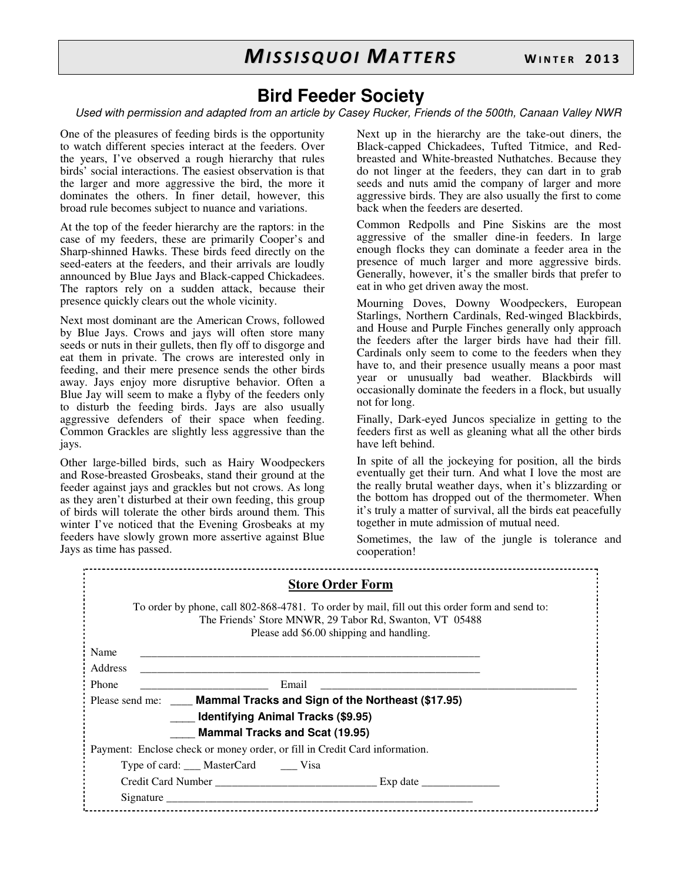# **Bird Feeder Society**

Used with permission and adapted from an article by Casey Rucker, Friends of the 500th, Canaan Valley NWR

One of the pleasures of feeding birds is the opportunity to watch different species interact at the feeders. Over the years, I've observed a rough hierarchy that rules birds' social interactions. The easiest observation is that the larger and more aggressive the bird, the more it dominates the others. In finer detail, however, this broad rule becomes subject to nuance and variations.

At the top of the feeder hierarchy are the raptors: in the case of my feeders, these are primarily Cooper's and Sharp-shinned Hawks. These birds feed directly on the seed-eaters at the feeders, and their arrivals are loudly announced by Blue Jays and Black-capped Chickadees. The raptors rely on a sudden attack, because their presence quickly clears out the whole vicinity.

Next most dominant are the American Crows, followed by Blue Jays. Crows and jays will often store many seeds or nuts in their gullets, then fly off to disgorge and eat them in private. The crows are interested only in feeding, and their mere presence sends the other birds away. Jays enjoy more disruptive behavior. Often a Blue Jay will seem to make a flyby of the feeders only to disturb the feeding birds. Jays are also usually aggressive defenders of their space when feeding. Common Grackles are slightly less aggressive than the jays.

Other large-billed birds, such as Hairy Woodpeckers and Rose-breasted Grosbeaks, stand their ground at the feeder against jays and grackles but not crows. As long as they aren't disturbed at their own feeding, this group of birds will tolerate the other birds around them. This winter I've noticed that the Evening Grosbeaks at my feeders have slowly grown more assertive against Blue Jays as time has passed.

Next up in the hierarchy are the take-out diners, the Black-capped Chickadees, Tufted Titmice, and Redbreasted and White-breasted Nuthatches. Because they do not linger at the feeders, they can dart in to grab seeds and nuts amid the company of larger and more aggressive birds. They are also usually the first to come back when the feeders are deserted.

Common Redpolls and Pine Siskins are the most aggressive of the smaller dine-in feeders. In large enough flocks they can dominate a feeder area in the presence of much larger and more aggressive birds. Generally, however, it's the smaller birds that prefer to eat in who get driven away the most.

Mourning Doves, Downy Woodpeckers, European Starlings, Northern Cardinals, Red-winged Blackbirds, and House and Purple Finches generally only approach the feeders after the larger birds have had their fill. Cardinals only seem to come to the feeders when they have to, and their presence usually means a poor mast year or unusually bad weather. Blackbirds will occasionally dominate the feeders in a flock, but usually not for long.

Finally, Dark-eyed Juncos specialize in getting to the feeders first as well as gleaning what all the other birds have left behind.

In spite of all the jockeying for position, all the birds eventually get their turn. And what I love the most are the really brutal weather days, when it's blizzarding or the bottom has dropped out of the thermometer. When it's truly a matter of survival, all the birds eat peacefully together in mute admission of mutual need.

Sometimes, the law of the jungle is tolerance and cooperation!

| <b>Store Order Form</b>                                                                                                                                                                              |
|------------------------------------------------------------------------------------------------------------------------------------------------------------------------------------------------------|
| To order by phone, call 802-868-4781. To order by mail, fill out this order form and send to:<br>The Friends' Store MNWR, 29 Tabor Rd, Swanton, VT 05488<br>Please add \$6.00 shipping and handling. |
| Name                                                                                                                                                                                                 |
| <b>Address</b>                                                                                                                                                                                       |
| Phone<br>Email                                                                                                                                                                                       |
| Please send me: ____ Mammal Tracks and Sign of the Northeast (\$17.95)                                                                                                                               |
| <b>Identifying Animal Tracks (\$9.95)</b>                                                                                                                                                            |
| <b>Mammal Tracks and Scat (19.95)</b>                                                                                                                                                                |
| Payment: Enclose check or money order, or fill in Credit Card information.                                                                                                                           |
| Type of card: ____ MasterCard _______ Visa                                                                                                                                                           |
|                                                                                                                                                                                                      |
|                                                                                                                                                                                                      |
|                                                                                                                                                                                                      |